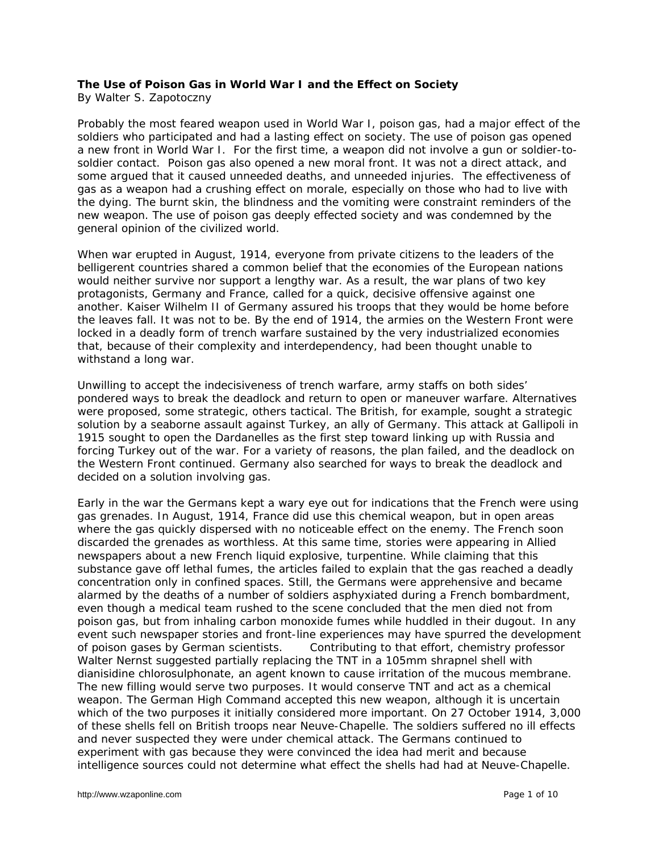## **The Use of Poison Gas in World War I and the Effect on Society**

By Walter S. Zapotoczny

Probably the most feared weapon used in World War I, poison gas, had a major effect of the soldiers who participated and had a lasting effect on society. The use of poison gas opened a new front in World War I. For the first time, a weapon did not involve a gun or soldier-tosoldier contact. Poison gas also opened a new moral front. It was not a direct attack, and some argued that it caused unneeded deaths, and unneeded injuries. The effectiveness of gas as a weapon had a crushing effect on morale, especially on those who had to live with the dying. The burnt skin, the blindness and the vomiting were constraint reminders of the new weapon. The use of poison gas deeply effected society and was condemned by the general opinion of the civilized world.

When war erupted in August, 1914, everyone from private citizens to the leaders of the belligerent countries shared a common belief that the economies of the European nations would neither survive nor support a lengthy war. As a result, the war plans of two key protagonists, Germany and France, called for a quick, decisive offensive against one another. Kaiser Wilhelm II of Germany assured his troops that they would be home before the leaves fall. It was not to be. By the end of 1914, the armies on the Western Front were locked in a deadly form of trench warfare sustained by the very industrialized economies that, because of their complexity and interdependency, had been thought unable to withstand a long war.

Unwilling to accept the indecisiveness of trench warfare, army staffs on both sides' pondered ways to break the deadlock and return to open or maneuver warfare. Alternatives were proposed, some strategic, others tactical. The British, for example, sought a strategic solution by a seaborne assault against Turkey, an ally of Germany. This attack at Gallipoli in 1915 sought to open the Dardanelles as the first step toward linking up with Russia and forcing Turkey out of the war. For a variety of reasons, the plan failed, and the deadlock on the Western Front continued. Germany also searched for ways to break the deadlock and decided on a solution involving gas.

Early in the war the Germans kept a wary eye out for indications that the French were using gas grenades. In August, 1914, France did use this chemical weapon, but in open areas where the gas quickly dispersed with no noticeable effect on the enemy. The French soon discarded the grenades as worthless. At this same time, stories were appearing in Allied newspapers about a new French liquid explosive, turpentine. While claiming that this substance gave off lethal fumes, the articles failed to explain that the gas reached a deadly concentration only in confined spaces. Still, the Germans were apprehensive and became alarmed by the deaths of a number of soldiers asphyxiated during a French bombardment, even though a medical team rushed to the scene concluded that the men died not from poison gas, but from inhaling carbon monoxide fumes while huddled in their dugout. In any event such newspaper stories and front-line experiences may have spurred the development of poison gases by German scientists. Contributing to that effort, chemistry professor Walter Nernst suggested partially replacing the TNT in a 105mm shrapnel shell with dianisidine chlorosulphonate, an agent known to cause irritation of the mucous membrane. The new filling would serve two purposes. It would conserve TNT and act as a chemical weapon. The German High Command accepted this new weapon, although it is uncertain which of the two purposes it initially considered more important. On 27 October 1914, 3,000 of these shells fell on British troops near Neuve-Chapelle. The soldiers suffered no ill effects and never suspected they were under chemical attack. The Germans continued to experiment with gas because they were convinced the idea had merit and because intelligence sources could not determine what effect the shells had had at Neuve-Chapelle.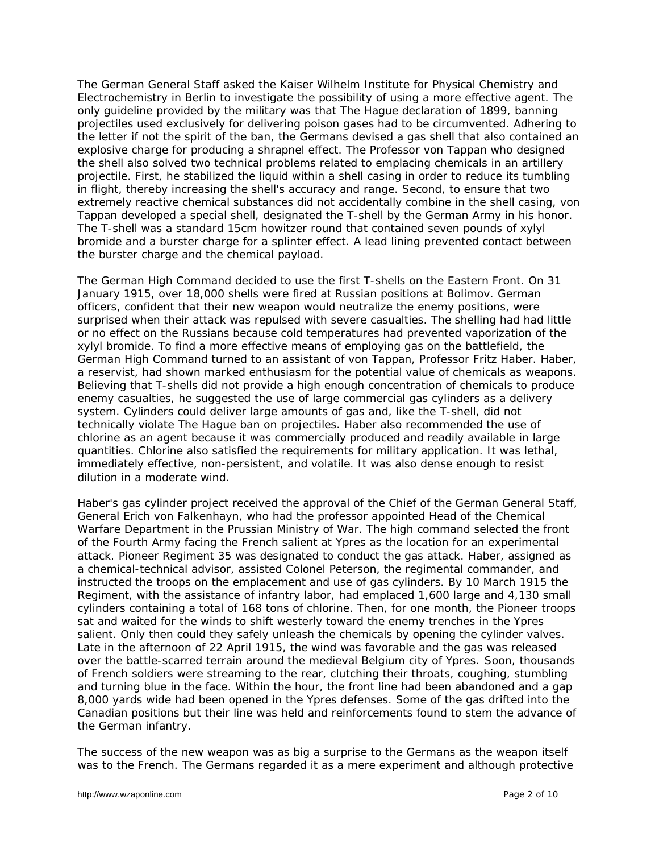The German General Staff asked the Kaiser Wilhelm Institute for Physical Chemistry and Electrochemistry in Berlin to investigate the possibility of using a more effective agent. The only guideline provided by the military was that The Hague declaration of 1899, banning projectiles used exclusively for delivering poison gases had to be circumvented. Adhering to the letter if not the spirit of the ban, the Germans devised a gas shell that also contained an explosive charge for producing a shrapnel effect. The Professor von Tappan who designed the shell also solved two technical problems related to emplacing chemicals in an artillery projectile. First, he stabilized the liquid within a shell casing in order to reduce its tumbling in flight, thereby increasing the shell's accuracy and range. Second, to ensure that two extremely reactive chemical substances did not accidentally combine in the shell casing, von Tappan developed a special shell, designated the T-shell by the German Army in his honor. The T-shell was a standard 15cm howitzer round that contained seven pounds of xylyl bromide and a burster charge for a splinter effect. A lead lining prevented contact between the burster charge and the chemical payload.

The German High Command decided to use the first T-shells on the Eastern Front. On 31 January 1915, over 18,000 shells were fired at Russian positions at Bolimov. German officers, confident that their new weapon would neutralize the enemy positions, were surprised when their attack was repulsed with severe casualties. The shelling had had little or no effect on the Russians because cold temperatures had prevented vaporization of the xylyl bromide. To find a more effective means of employing gas on the battlefield, the German High Command turned to an assistant of von Tappan, Professor Fritz Haber. Haber, a reservist, had shown marked enthusiasm for the potential value of chemicals as weapons. Believing that T-shells did not provide a high enough concentration of chemicals to produce enemy casualties, he suggested the use of large commercial gas cylinders as a delivery system. Cylinders could deliver large amounts of gas and, like the T-shell, did not technically violate The Hague ban on projectiles. Haber also recommended the use of chlorine as an agent because it was commercially produced and readily available in large quantities. Chlorine also satisfied the requirements for military application. It was lethal, immediately effective, non-persistent, and volatile. It was also dense enough to resist dilution in a moderate wind.

Haber's gas cylinder project received the approval of the Chief of the German General Staff, General Erich von Falkenhayn, who had the professor appointed Head of the Chemical Warfare Department in the Prussian Ministry of War. The high command selected the front of the Fourth Army facing the French salient at Ypres as the location for an experimental attack. Pioneer Regiment 35 was designated to conduct the gas attack. Haber, assigned as a chemical-technical advisor, assisted Colonel Peterson, the regimental commander, and instructed the troops on the emplacement and use of gas cylinders. By 10 March 1915 the Regiment, with the assistance of infantry labor, had emplaced 1,600 large and 4,130 small cylinders containing a total of 168 tons of chlorine. Then, for one month, the Pioneer troops sat and waited for the winds to shift westerly toward the enemy trenches in the Ypres salient. Only then could they safely unleash the chemicals by opening the cylinder valves. Late in the afternoon of 22 April 1915, the wind was favorable and the gas was released over the battle-scarred terrain around the medieval Belgium city of Ypres. Soon, thousands of French soldiers were streaming to the rear, clutching their throats, coughing, stumbling and turning blue in the face. Within the hour, the front line had been abandoned and a gap 8,000 yards wide had been opened in the Ypres defenses. Some of the gas drifted into the Canadian positions but their line was held and reinforcements found to stem the advance of the German infantry.

The success of the new weapon was as big a surprise to the Germans as the weapon itself was to the French. The Germans regarded it as a mere experiment and although protective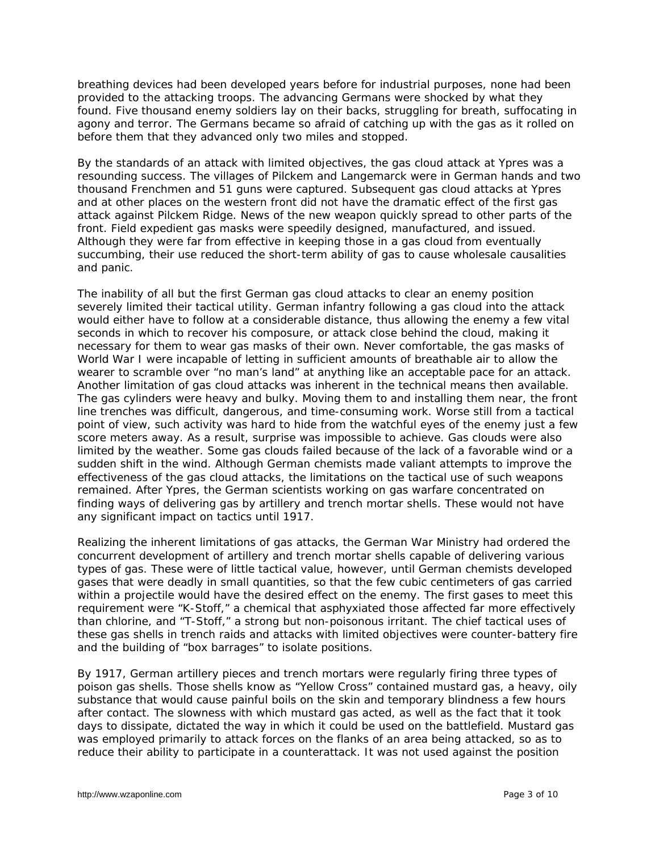breathing devices had been developed years before for industrial purposes, none had been provided to the attacking troops. The advancing Germans were shocked by what they found. Five thousand enemy soldiers lay on their backs, struggling for breath, suffocating in agony and terror. The Germans became so afraid of catching up with the gas as it rolled on before them that they advanced only two miles and stopped.

By the standards of an attack with limited objectives, the gas cloud attack at Ypres was a resounding success. The villages of Pilckem and Langemarck were in German hands and two thousand Frenchmen and 51 guns were captured. Subsequent gas cloud attacks at Ypres and at other places on the western front did not have the dramatic effect of the first gas attack against Pilckem Ridge. News of the new weapon quickly spread to other parts of the front. Field expedient gas masks were speedily designed, manufactured, and issued. Although they were far from effective in keeping those in a gas cloud from eventually succumbing, their use reduced the short-term ability of gas to cause wholesale causalities and panic.

The inability of all but the first German gas cloud attacks to clear an enemy position severely limited their tactical utility. German infantry following a gas cloud into the attack would either have to follow at a considerable distance, thus allowing the enemy a few vital seconds in which to recover his composure, or attack close behind the cloud, making it necessary for them to wear gas masks of their own. Never comfortable, the gas masks of World War I were incapable of letting in sufficient amounts of breathable air to allow the wearer to scramble over "no man's land" at anything like an acceptable pace for an attack. Another limitation of gas cloud attacks was inherent in the technical means then available. The gas cylinders were heavy and bulky. Moving them to and installing them near, the front line trenches was difficult, dangerous, and time-consuming work. Worse still from a tactical point of view, such activity was hard to hide from the watchful eyes of the enemy just a few score meters away. As a result, surprise was impossible to achieve. Gas clouds were also limited by the weather. Some gas clouds failed because of the lack of a favorable wind or a sudden shift in the wind. Although German chemists made valiant attempts to improve the effectiveness of the gas cloud attacks, the limitations on the tactical use of such weapons remained. After Ypres, the German scientists working on gas warfare concentrated on finding ways of delivering gas by artillery and trench mortar shells. These would not have any significant impact on tactics until 1917.

Realizing the inherent limitations of gas attacks, the German War Ministry had ordered the concurrent development of artillery and trench mortar shells capable of delivering various types of gas. These were of little tactical value, however, until German chemists developed gases that were deadly in small quantities, so that the few cubic centimeters of gas carried within a projectile would have the desired effect on the enemy. The first gases to meet this requirement were "K-Stoff," a chemical that asphyxiated those affected far more effectively than chlorine, and "T-Stoff," a strong but non-poisonous irritant. The chief tactical uses of these gas shells in trench raids and attacks with limited objectives were counter-battery fire and the building of "box barrages" to isolate positions.

By 1917, German artillery pieces and trench mortars were regularly firing three types of poison gas shells. Those shells know as "Yellow Cross" contained mustard gas, a heavy, oily substance that would cause painful boils on the skin and temporary blindness a few hours after contact. The slowness with which mustard gas acted, as well as the fact that it took days to dissipate, dictated the way in which it could be used on the battlefield. Mustard gas was employed primarily to attack forces on the flanks of an area being attacked, so as to reduce their ability to participate in a counterattack. It was not used against the position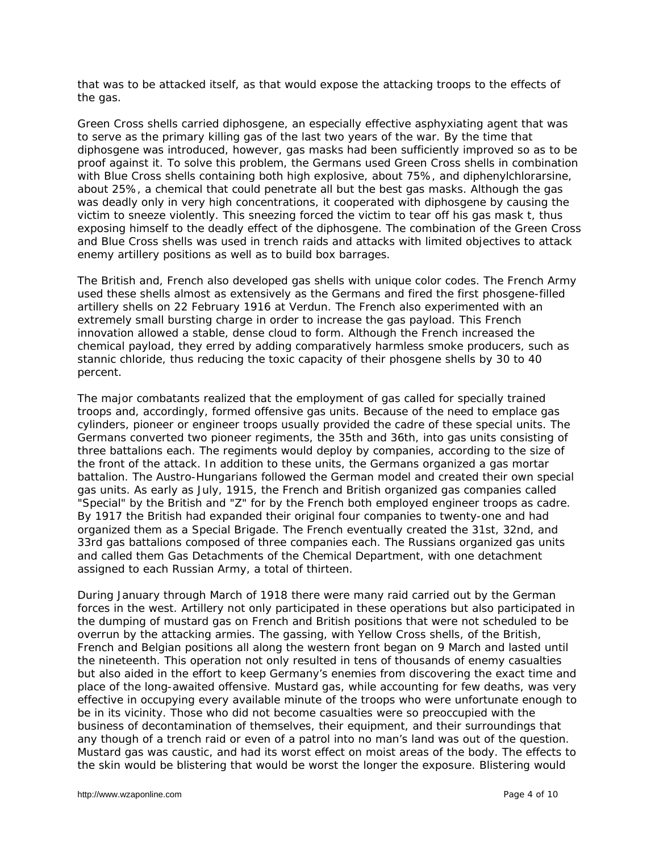that was to be attacked itself, as that would expose the attacking troops to the effects of the gas.

Green Cross shells carried diphosgene, an especially effective asphyxiating agent that was to serve as the primary killing gas of the last two years of the war. By the time that diphosgene was introduced, however, gas masks had been sufficiently improved so as to be proof against it. To solve this problem, the Germans used Green Cross shells in combination with Blue Cross shells containing both high explosive, about 75%, and diphenylchlorarsine, about 25%, a chemical that could penetrate all but the best gas masks. Although the gas was deadly only in very high concentrations, it cooperated with diphosgene by causing the victim to sneeze violently. This sneezing forced the victim to tear off his gas mask t, thus exposing himself to the deadly effect of the diphosgene. The combination of the Green Cross and Blue Cross shells was used in trench raids and attacks with limited objectives to attack enemy artillery positions as well as to build box barrages.

The British and, French also developed gas shells with unique color codes. The French Army used these shells almost as extensively as the Germans and fired the first phosgene-filled artillery shells on 22 February 1916 at Verdun. The French also experimented with an extremely small bursting charge in order to increase the gas payload. This French innovation allowed a stable, dense cloud to form. Although the French increased the chemical payload, they erred by adding comparatively harmless smoke producers, such as stannic chloride, thus reducing the toxic capacity of their phosgene shells by 30 to 40 percent.

The major combatants realized that the employment of gas called for specially trained troops and, accordingly, formed offensive gas units. Because of the need to emplace gas cylinders, pioneer or engineer troops usually provided the cadre of these special units. The Germans converted two pioneer regiments, the 35th and 36th, into gas units consisting of three battalions each. The regiments would deploy by companies, according to the size of the front of the attack. In addition to these units, the Germans organized a gas mortar battalion. The Austro-Hungarians followed the German model and created their own special gas units. As early as July, 1915, the French and British organized gas companies called "Special" by the British and "Z" for by the French both employed engineer troops as cadre. By 1917 the British had expanded their original four companies to twenty-one and had organized them as a Special Brigade. The French eventually created the 31st, 32nd, and 33rd gas battalions composed of three companies each. The Russians organized gas units and called them Gas Detachments of the Chemical Department, with one detachment assigned to each Russian Army, a total of thirteen.

During January through March of 1918 there were many raid carried out by the German forces in the west. Artillery not only participated in these operations but also participated in the dumping of mustard gas on French and British positions that were not scheduled to be overrun by the attacking armies. The gassing, with Yellow Cross shells, of the British, French and Belgian positions all along the western front began on 9 March and lasted until the nineteenth. This operation not only resulted in tens of thousands of enemy casualties but also aided in the effort to keep Germany's enemies from discovering the exact time and place of the long-awaited offensive. Mustard gas, while accounting for few deaths, was very effective in occupying every available minute of the troops who were unfortunate enough to be in its vicinity. Those who did not become casualties were so preoccupied with the business of decontamination of themselves, their equipment, and their surroundings that any though of a trench raid or even of a patrol into no man's land was out of the question. Mustard gas was caustic, and had its worst effect on moist areas of the body. The effects to the skin would be blistering that would be worst the longer the exposure. Blistering would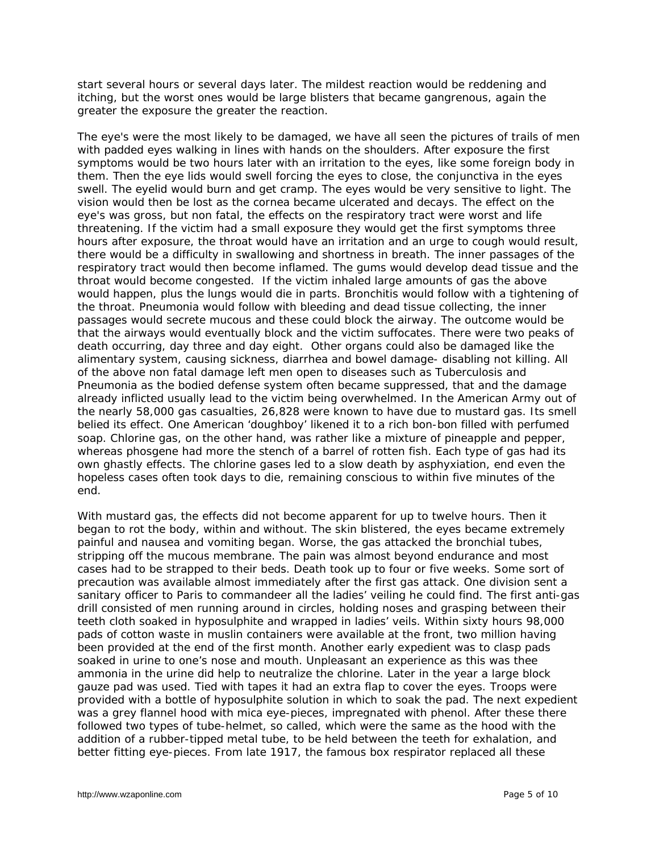start several hours or several days later. The mildest reaction would be reddening and itching, but the worst ones would be large blisters that became gangrenous, again the greater the exposure the greater the reaction.

The eye's were the most likely to be damaged, we have all seen the pictures of trails of men with padded eyes walking in lines with hands on the shoulders. After exposure the first symptoms would be two hours later with an irritation to the eyes, like some foreign body in them. Then the eye lids would swell forcing the eyes to close, the conjunctiva in the eyes swell. The eyelid would burn and get cramp. The eyes would be very sensitive to light. The vision would then be lost as the cornea became ulcerated and decays. The effect on the eye's was gross, but non fatal, the effects on the respiratory tract were worst and life threatening. If the victim had a small exposure they would get the first symptoms three hours after exposure, the throat would have an irritation and an urge to cough would result, there would be a difficulty in swallowing and shortness in breath. The inner passages of the respiratory tract would then become inflamed. The gums would develop dead tissue and the throat would become congested. If the victim inhaled large amounts of gas the above would happen, plus the lungs would die in parts. Bronchitis would follow with a tightening of the throat. Pneumonia would follow with bleeding and dead tissue collecting, the inner passages would secrete mucous and these could block the airway. The outcome would be that the airways would eventually block and the victim suffocates. There were two peaks of death occurring, day three and day eight. Other organs could also be damaged like the alimentary system, causing sickness, diarrhea and bowel damage- disabling not killing. All of the above non fatal damage left men open to diseases such as Tuberculosis and Pneumonia as the bodied defense system often became suppressed, that and the damage already inflicted usually lead to the victim being overwhelmed. In the American Army out of the nearly 58,000 gas casualties, 26,828 were known to have due to mustard gas. Its smell belied its effect. One American 'doughboy' likened it to a rich bon-bon filled with perfumed soap. Chlorine gas, on the other hand, was rather like a mixture of pineapple and pepper, whereas phosgene had more the stench of a barrel of rotten fish. Each type of gas had its own ghastly effects. The chlorine gases led to a slow death by asphyxiation, end even the hopeless cases often took days to die, remaining conscious to within five minutes of the end.

With mustard gas, the effects did not become apparent for up to twelve hours. Then it began to rot the body, within and without. The skin blistered, the eyes became extremely painful and nausea and vomiting began. Worse, the gas attacked the bronchial tubes, stripping off the mucous membrane. The pain was almost beyond endurance and most cases had to be strapped to their beds. Death took up to four or five weeks. Some sort of precaution was available almost immediately after the first gas attack. One division sent a sanitary officer to Paris to commandeer all the ladies' veiling he could find. The first anti-gas drill consisted of men running around in circles, holding noses and grasping between their teeth cloth soaked in hyposulphite and wrapped in ladies' veils. Within sixty hours 98,000 pads of cotton waste in muslin containers were available at the front, two million having been provided at the end of the first month. Another early expedient was to clasp pads soaked in urine to one's nose and mouth. Unpleasant an experience as this was thee ammonia in the urine did help to neutralize the chlorine. Later in the year a large block gauze pad was used. Tied with tapes it had an extra flap to cover the eyes. Troops were provided with a bottle of hyposulphite solution in which to soak the pad. The next expedient was a grey flannel hood with mica eye-pieces, impregnated with phenol. After these there followed two types of tube-helmet, so called, which were the same as the hood with the addition of a rubber-tipped metal tube, to be held between the teeth for exhalation, and better fitting eye-pieces. From late 1917, the famous box respirator replaced all these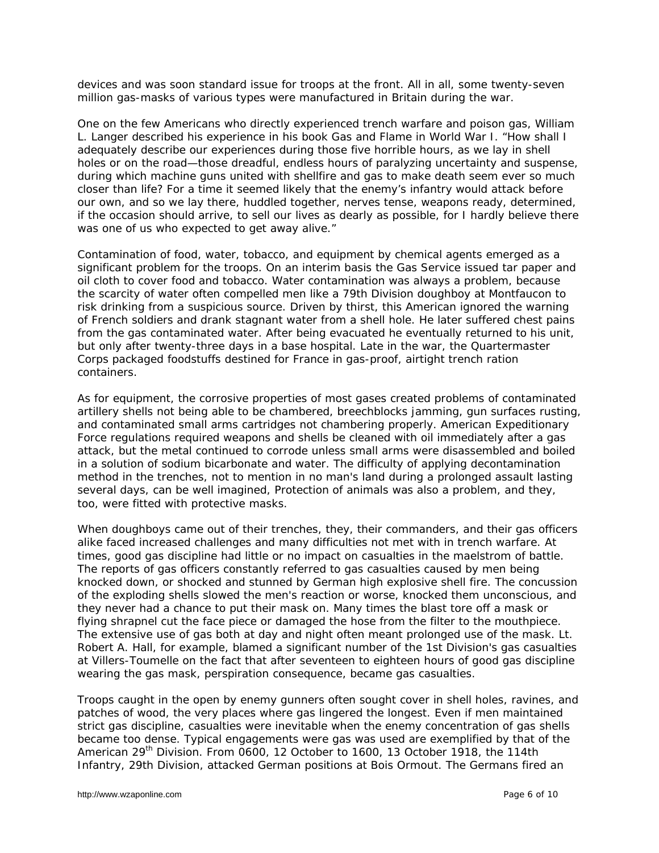devices and was soon standard issue for troops at the front. All in all, some twenty-seven million gas-masks of various types were manufactured in Britain during the war.

One on the few Americans who directly experienced trench warfare and poison gas, William L. Langer described his experience in his book *Gas and Flame in World War I.* "How shall I adequately describe our experiences during those five horrible hours, as we lay in shell holes or on the road—those dreadful, endless hours of paralyzing uncertainty and suspense, during which machine guns united with shellfire and gas to make death seem ever so much closer than life? For a time it seemed likely that the enemy's infantry would attack before our own, and so we lay there, huddled together, nerves tense, weapons ready, determined, if the occasion should arrive, to sell our lives as dearly as possible, for I hardly believe there was one of us who expected to get away alive."

Contamination of food, water, tobacco, and equipment by chemical agents emerged as a significant problem for the troops. On an interim basis the Gas Service issued tar paper and oil cloth to cover food and tobacco. Water contamination was always a problem, because the scarcity of water often compelled men like a 79th Division doughboy at Montfaucon to risk drinking from a suspicious source. Driven by thirst, this American ignored the warning of French soldiers and drank stagnant water from a shell hole. He later suffered chest pains from the gas contaminated water. After being evacuated he eventually returned to his unit, but only after twenty-three days in a base hospital. Late in the war, the Quartermaster Corps packaged foodstuffs destined for France in gas-proof, airtight trench ration containers.

As for equipment, the corrosive properties of most gases created problems of contaminated artillery shells not being able to be chambered, breechblocks jamming, gun surfaces rusting, and contaminated small arms cartridges not chambering properly. American Expeditionary Force regulations required weapons and shells be cleaned with oil immediately after a gas attack, but the metal continued to corrode unless small arms were disassembled and boiled in a solution of sodium bicarbonate and water. The difficulty of applying decontamination method in the trenches, not to mention in no man's land during a prolonged assault lasting several days, can be well imagined, Protection of animals was also a problem, and they, too, were fitted with protective masks.

When doughboys came out of their trenches, they, their commanders, and their gas officers alike faced increased challenges and many difficulties not met with in trench warfare. At times, good gas discipline had little or no impact on casualties in the maelstrom of battle. The reports of gas officers constantly referred to gas casualties caused by men being knocked down, or shocked and stunned by German high explosive shell fire. The concussion of the exploding shells slowed the men's reaction or worse, knocked them unconscious, and they never had a chance to put their mask on. Many times the blast tore off a mask or flying shrapnel cut the face piece or damaged the hose from the filter to the mouthpiece. The extensive use of gas both at day and night often meant prolonged use of the mask. Lt. Robert A. Hall, for example, blamed a significant number of the 1st Division's gas casualties at Villers-Toumelle on the fact that after seventeen to eighteen hours of good gas discipline wearing the gas mask, perspiration consequence, became gas casualties.

Troops caught in the open by enemy gunners often sought cover in shell holes, ravines, and patches of wood, the very places where gas lingered the longest. Even if men maintained strict gas discipline, casualties were inevitable when the enemy concentration of gas shells became too dense. Typical engagements were gas was used are exemplified by that of the American 29<sup>th</sup> Division. From 0600, 12 October to 1600, 13 October 1918, the 114th Infantry, 29th Division, attacked German positions at Bois Ormout. The Germans fired an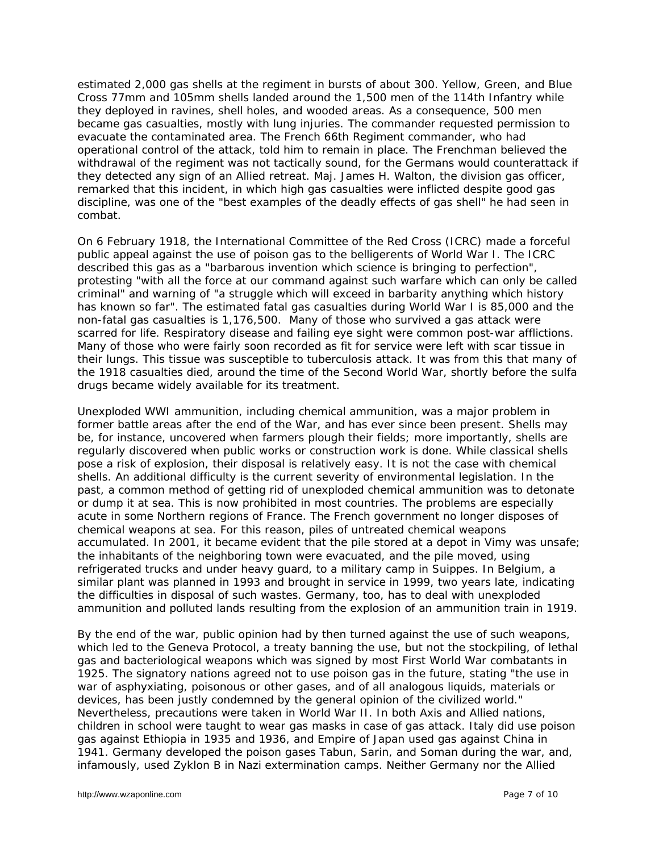estimated 2,000 gas shells at the regiment in bursts of about 300. Yellow, Green, and Blue Cross 77mm and 105mm shells landed around the 1,500 men of the 114th Infantry while they deployed in ravines, shell holes, and wooded areas. As a consequence, 500 men became gas casualties, mostly with lung injuries. The commander requested permission to evacuate the contaminated area. The French 66th Regiment commander, who had operational control of the attack, told him to remain in place. The Frenchman believed the withdrawal of the regiment was not tactically sound, for the Germans would counterattack if they detected any sign of an Allied retreat. Maj. James H. Walton, the division gas officer, remarked that this incident, in which high gas casualties were inflicted despite good gas discipline, was one of the "best examples of the deadly effects of gas shell" he had seen in combat.

On 6 February 1918, the International Committee of the Red Cross (ICRC) made a forceful public appeal against the use of poison gas to the belligerents of World War I. The ICRC described this gas as a "barbarous invention which science is bringing to perfection", protesting "with all the force at our command against such warfare which can only be called criminal" and warning of "a struggle which will exceed in barbarity anything which history has known so far". The estimated fatal gas casualties during World War I is 85,000 and the non-fatal gas casualties is 1,176,500. Many of those who survived a gas attack were scarred for life. Respiratory disease and failing eye sight were common post-war afflictions. Many of those who were fairly soon recorded as fit for service were left with scar tissue in their lungs. This tissue was susceptible to tuberculosis attack. It was from this that many of the 1918 casualties died, around the time of the Second World War, shortly before the sulfa drugs became widely available for its treatment.

Unexploded WWI ammunition, including chemical ammunition, was a major problem in former battle areas after the end of the War, and has ever since been present. Shells may be, for instance, uncovered when farmers plough their fields; more importantly, shells are regularly discovered when public works or construction work is done. While classical shells pose a risk of explosion, their disposal is relatively easy. It is not the case with chemical shells. An additional difficulty is the current severity of environmental legislation. In the past, a common method of getting rid of unexploded chemical ammunition was to detonate or dump it at sea. This is now prohibited in most countries. The problems are especially acute in some Northern regions of France. The French government no longer disposes of chemical weapons at sea. For this reason, piles of untreated chemical weapons accumulated. In 2001, it became evident that the pile stored at a depot in Vimy was unsafe; the inhabitants of the neighboring town were evacuated, and the pile moved, using refrigerated trucks and under heavy guard, to a military camp in Suippes. In Belgium, a similar plant was planned in 1993 and brought in service in 1999, two years late, indicating the difficulties in disposal of such wastes. Germany, too, has to deal with unexploded ammunition and polluted lands resulting from the explosion of an ammunition train in [1919](http://www.onpedia.com/encyclopedia/1919).

By the end of the war, public opinion had by then turned against the use of such weapons, which led to the Geneva Protocol, a treaty banning the use, but not the stockpiling, of lethal gas and bacteriological weapons which was signed by most First World War combatants in 1925. The signatory nations agreed not to use poison gas in the future, stating "the use in war of asphyxiating, poisonous or other gases, and of all analogous liquids, materials or devices, has been justly condemned by the general opinion of the civilized world." Nevertheless, precautions were taken in World War II. In both Axis and Allied nations, children in school were taught to wear gas masks in case of gas attack. Italy did use poison gas against Ethiopia in 1935 and 1936, and Empire of Japan used gas against China in 1941. Germany developed the poison gases Tabun, Sarin, and Soman during the war, and, infamously, used Zyklon B in Nazi extermination camps. Neither Germany nor the Allied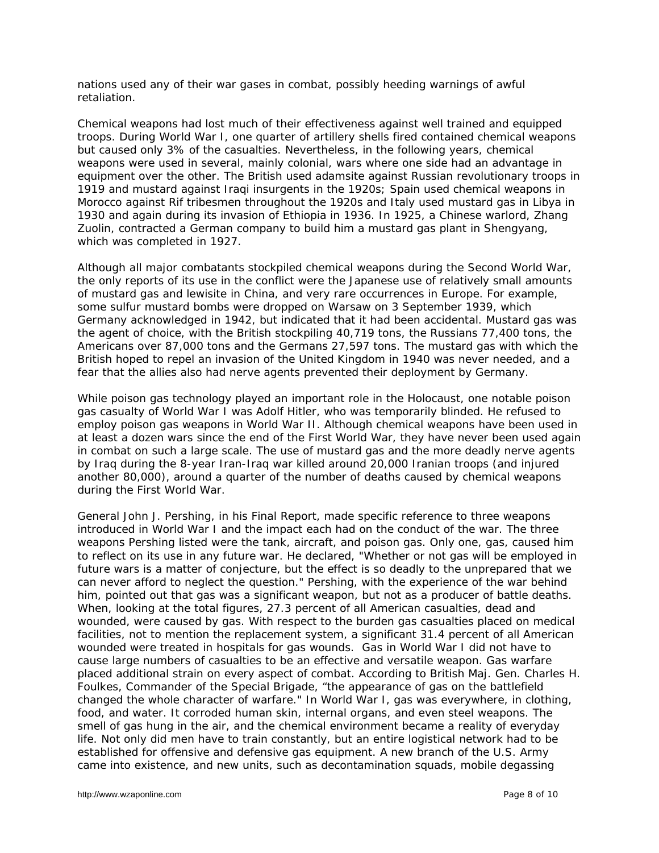nations used any of their war gases in combat, possibly heeding warnings of awful retaliation.

Chemical weapons had lost much of their effectiveness against well trained and equipped troops. During World War I, one quarter of artillery shells fired contained chemical weapons but caused only 3% of the casualties. Nevertheless, in the following years, chemical weapons were used in several, mainly colonial, wars where one side had an advantage in equipment over the other. The British used adamsite against Russian revolutionary troops in 1919 and mustard against Iraqi insurgents in the 1920s; Spain used chemical weapons in Morocco against Rif tribesmen throughout the 1920s and Italy used mustard gas in Libya in 1930 and again during its invasion of Ethiopia in 1936. In 1925, a Chinese warlord, Zhang Zuolin, contracted a German company to build him a mustard gas plant in Shengyang, which was completed in 1927.

Although all major combatants stockpiled chemical weapons during the Second World War, the only reports of its use in the conflict were the Japanese use of relatively small amounts of mustard gas and lewisite in China, and very rare occurrences in Europe. For example, some sulfur mustard bombs were dropped on Warsaw on 3 September 1939, which Germany acknowledged in 1942, but indicated that it had been accidental. Mustard gas was the agent of choice, with the British stockpiling 40,719 tons, the Russians 77,400 tons, the Americans over 87,000 tons and the Germans 27,597 tons. The mustard gas with which the British hoped to repel an invasion of the United Kingdom in 1940 was never needed, and a fear that the allies also had nerve agents prevented their deployment by Germany.

While poison gas technology played an important role in the Holocaust, one notable poison gas casualty of World War I was Adolf Hitler, who was temporarily blinded. He refused to employ poison gas weapons in World War II. Although chemical weapons have been used in at least a dozen wars since the end of the First World War, they have never been used again in combat on such a large scale. The use of mustard gas and the more deadly nerve agents by Iraq during the 8-year Iran-Iraq war killed around 20,000 Iranian troops (and injured another 80,000), around a quarter of the number of deaths caused by chemical weapons during the First World War.

General John J. Pershing, in his *Final Report*, made specific reference to three weapons introduced in World War I and the impact each had on the conduct of the war. The three weapons Pershing listed were the tank, aircraft, and poison gas. Only one, gas, caused him to reflect on its use in any future war. He declared, "Whether or not gas will be employed in future wars is a matter of conjecture, but the effect is so deadly to the unprepared that we can never afford to neglect the question." Pershing, with the experience of the war behind him, pointed out that gas was a significant weapon, but not as a producer of battle deaths. When, looking at the total figures, 27.3 percent of all American casualties, dead and wounded, were caused by gas. With respect to the burden gas casualties placed on medical facilities, not to mention the replacement system, a significant 31.4 percent of all American wounded were treated in hospitals for gas wounds. Gas in World War I did not have to cause large numbers of casualties to be an effective and versatile weapon. Gas warfare placed additional strain on every aspect of combat. According to British Maj. Gen. Charles H. Foulkes, Commander of the Special Brigade, "the appearance of gas on the battlefield changed the whole character of warfare." In World War I, gas was everywhere, in clothing, food, and water. It corroded human skin, internal organs, and even steel weapons. The smell of gas hung in the air, and the chemical environment became a reality of everyday life. Not only did men have to train constantly, but an entire logistical network had to be established for offensive and defensive gas equipment. A new branch of the U.S. Army came into existence, and new units, such as decontamination squads, mobile degassing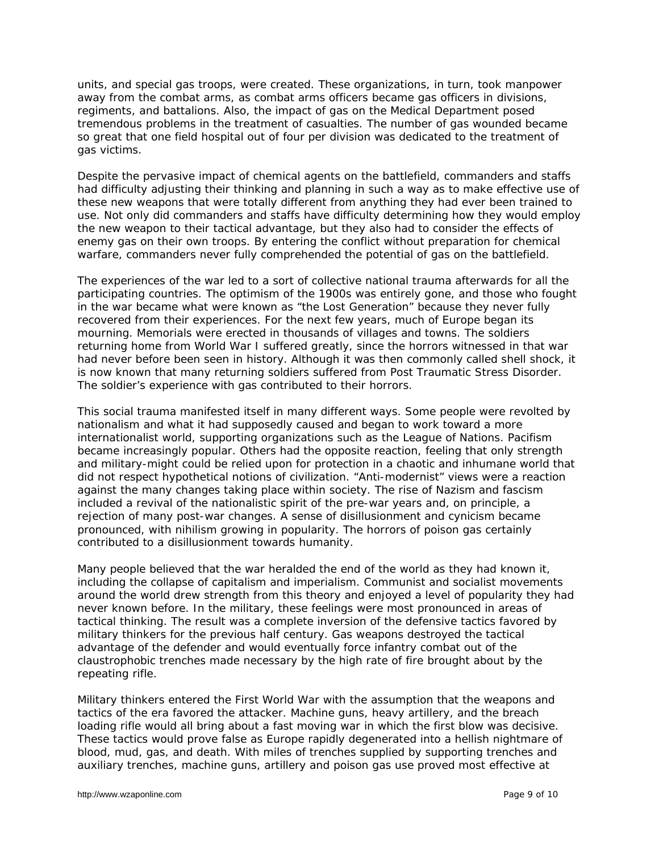units, and special gas troops, were created. These organizations, in turn, took manpower away from the combat arms, as combat arms officers became gas officers in divisions, regiments, and battalions. Also, the impact of gas on the Medical Department posed tremendous problems in the treatment of casualties. The number of gas wounded became so great that one field hospital out of four per division was dedicated to the treatment of gas victims.

Despite the pervasive impact of chemical agents on the battlefield, commanders and staffs had difficulty adjusting their thinking and planning in such a way as to make effective use of these new weapons that were totally different from anything they had ever been trained to use. Not only did commanders and staffs have difficulty determining how they would employ the new weapon to their tactical advantage, but they also had to consider the effects of enemy gas on their own troops. By entering the conflict without preparation for chemical warfare, commanders never fully comprehended the potential of gas on the battlefield.

The experiences of the war led to a sort of collective national trauma afterwards for all the participating countries. The optimism of the 1900s was entirely gone, and those who fought in the war became what were known as "the Lost Generation" because they never fully recovered from their experiences. For the next few years, much of Europe began its mourning. Memorials were erected in thousands of villages and towns. The soldiers returning home from World War I suffered greatly, since the horrors witnessed in that war had never before been seen in history. Although it was then commonly called *shell shock*, it is now known that many returning soldiers suffered from Post Traumatic Stress Disorder. The soldier's experience with gas contributed to their horrors.

This social trauma manifested itself in many different ways. Some people were revolted by nationalism and what it had supposedly caused and began to work toward a more internationalist world, supporting organizations such as the League of Nations. Pacifism became increasingly popular. Others had the opposite reaction, feeling that only strength and military-might could be relied upon for protection in a chaotic and inhumane world that did not respect hypothetical notions of civilization. "Anti-modernist" views were a reaction against the many changes taking place within society. The rise of Nazism and fascism included a revival of the nationalistic spirit of the pre-war years and, on principle, a rejection of many post-war changes. A sense of disillusionment and cynicism became pronounced, with nihilism growing in popularity. The horrors of poison gas certainly contributed to a disillusionment towards humanity.

Many people believed that the war heralded the end of the world as they had known it, including the collapse of capitalism and imperialism. Communist and socialist movements around the world drew strength from this theory and enjoyed a level of popularity they had never known before. In the military, these feelings were most pronounced in areas of tactical thinking. The result was a complete inversion of the defensive tactics favored by military thinkers for the previous half century. Gas weapons destroyed the tactical advantage of the defender and would eventually force infantry combat out of the claustrophobic trenches made necessary by the high rate of fire brought about by the repeating rifle.

Military thinkers entered the First World War with the assumption that the weapons and tactics of the era favored the attacker. Machine guns, heavy artillery, and the breach loading rifle would all bring about a fast moving war in which the first blow was decisive. These tactics would prove false as Europe rapidly degenerated into a hellish nightmare of blood, mud, gas, and death. With miles of trenches supplied by supporting trenches and auxiliary trenches, machine guns, artillery and poison gas use proved most effective at